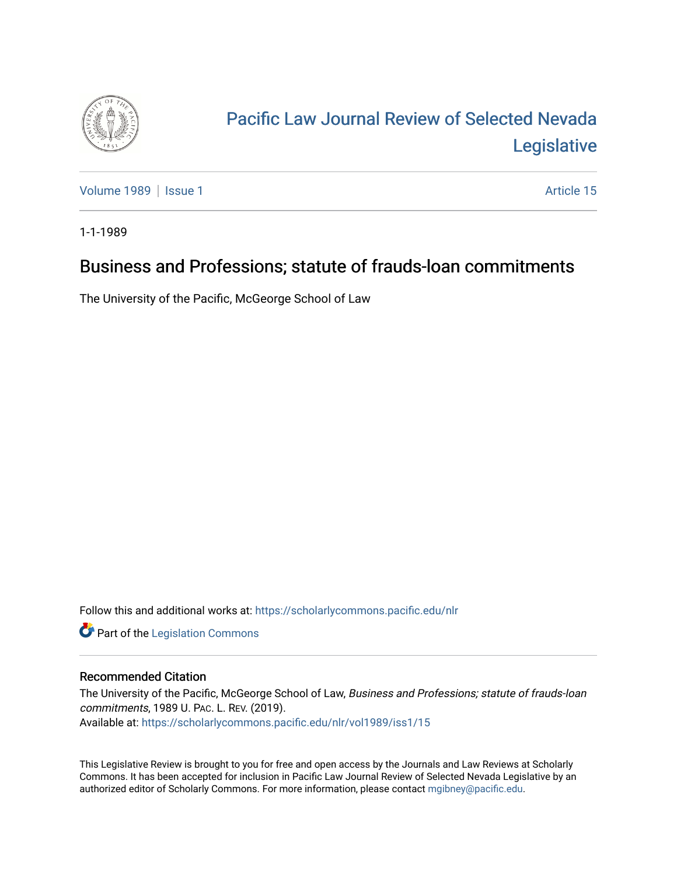

## [Pacific Law Journal Review of Selected Nevada](https://scholarlycommons.pacific.edu/nlr)  [Legislative](https://scholarlycommons.pacific.edu/nlr)

[Volume 1989](https://scholarlycommons.pacific.edu/nlr/vol1989) | [Issue 1](https://scholarlycommons.pacific.edu/nlr/vol1989/iss1) Article 15

1-1-1989

## Business and Professions; statute of frauds-loan commitments

The University of the Pacific, McGeorge School of Law

Follow this and additional works at: [https://scholarlycommons.pacific.edu/nlr](https://scholarlycommons.pacific.edu/nlr?utm_source=scholarlycommons.pacific.edu%2Fnlr%2Fvol1989%2Fiss1%2F15&utm_medium=PDF&utm_campaign=PDFCoverPages) 

**Part of the [Legislation Commons](http://network.bepress.com/hgg/discipline/859?utm_source=scholarlycommons.pacific.edu%2Fnlr%2Fvol1989%2Fiss1%2F15&utm_medium=PDF&utm_campaign=PDFCoverPages)** 

## Recommended Citation

The University of the Pacific, McGeorge School of Law, Business and Professions; statute of frauds-loan commitments, 1989 U. PAC. L. REV. (2019). Available at: [https://scholarlycommons.pacific.edu/nlr/vol1989/iss1/15](https://scholarlycommons.pacific.edu/nlr/vol1989/iss1/15?utm_source=scholarlycommons.pacific.edu%2Fnlr%2Fvol1989%2Fiss1%2F15&utm_medium=PDF&utm_campaign=PDFCoverPages)

This Legislative Review is brought to you for free and open access by the Journals and Law Reviews at Scholarly Commons. It has been accepted for inclusion in Pacific Law Journal Review of Selected Nevada Legislative by an authorized editor of Scholarly Commons. For more information, please contact [mgibney@pacific.edu](mailto:mgibney@pacific.edu).